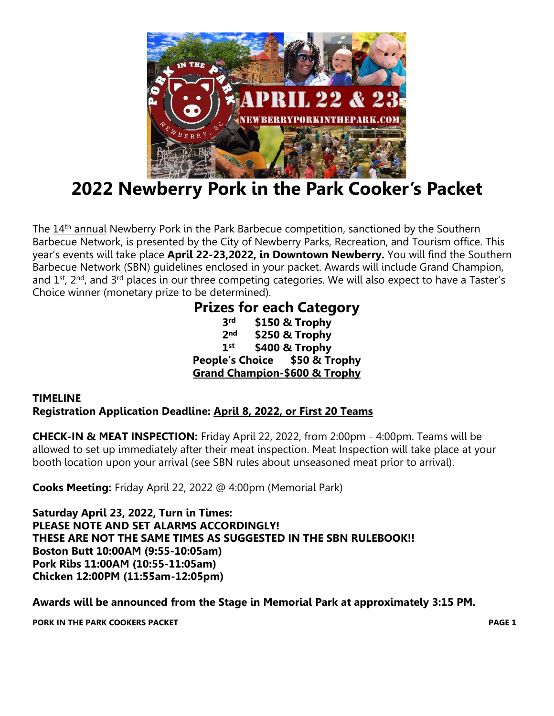

## **2022 Newberry Pork in the Park Cooker's Packet**

The 14<sup>th</sup> annual Newberry Pork in the Park Barbecue competition, sanctioned by the Southern Barbecue Network, is presented by the City of Newberry Parks, Recreation, and Tourism office. This year's events will take place **April 22-23,2022, in Downtown Newberry.** You will find the Southern Barbecue Network (SBN) guidelines enclosed in your packet. Awards will include Grand Champion, and  $1<sup>st</sup>$ ,  $2<sup>nd</sup>$ , and  $3<sup>rd</sup>$  places in our three competing categories. We will also expect to have a Taster's Choice winner (monetary prize to be determined).

#### **Prizes for each Category 3 rd \$150 & Trophy 2 nd \$250 & Trophy 1 st \$400 & Trophy People's Choice \$50 & Trophy Grand Champion-\$600 & Trophy**

#### **TIMELINE Registration Application Deadline: April 8, 2022, or First 20 Teams**

**CHECK-IN & MEAT INSPECTION:** Friday April 22, 2022, from 2:00pm - 4:00pm. Teams will be allowed to set up immediately after their meat inspection. Meat Inspection will take place at your booth location upon your arrival (see SBN rules about unseasoned meat prior to arrival).

**Cooks Meeting:** Friday April 22, 2022 @ 4:00pm (Memorial Park)

**Saturday April 23, 2022, Turn in Times: PLEASE NOTE AND SET ALARMS ACCORDINGLY! THESE ARE NOT THE SAME TIMES AS SUGGESTED IN THE SBN RULEBOOK!! Boston Butt 10:00AM (9:55-10:05am) Pork Ribs 11:00AM (10:55-11:05am) Chicken 12:00PM (11:55am-12:05pm)**

**Awards will be announced from the Stage in Memorial Park at approximately 3:15 PM.**

**PORK IN THE PARK COOKERS PACKET PAGE 1**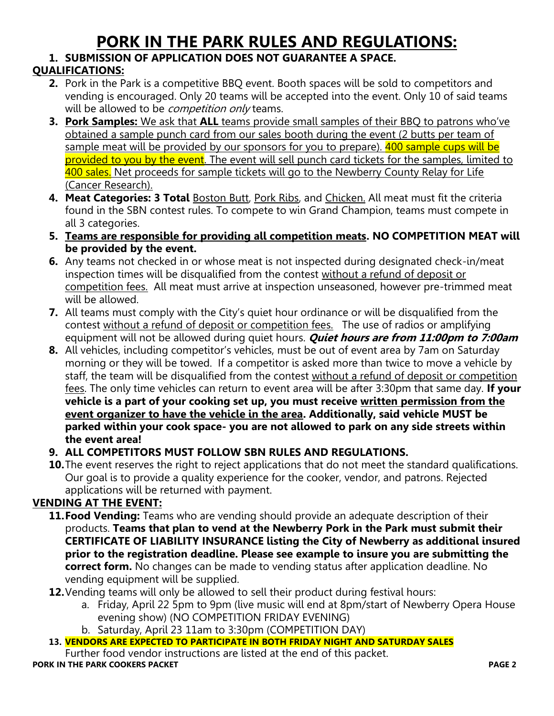## **PORK IN THE PARK RULES AND REGULATIONS:**

#### **1. SUBMISSION OF APPLICATION DOES NOT GUARANTEE A SPACE.**

#### **QUALIFICATIONS:**

- **2.** Pork in the Park is a competitive BBQ event. Booth spaces will be sold to competitors and vending is encouraged. Only 20 teams will be accepted into the event. Only 10 of said teams will be allowed to be *competition only* teams.
- **3. Pork Samples:** We ask that **ALL** teams provide small samples of their BBQ to patrons who've obtained a sample punch card from our sales booth during the event (2 butts per team of sample meat will be provided by our sponsors for you to prepare). 400 sample cups will be provided to you by the event. The event will sell punch card tickets for the samples, limited to 400 sales. Net proceeds for sample tickets will go to the Newberry County Relay for Life (Cancer Research).
- 4. Meat Categories: 3 Total **Boston Butt, Pork Ribs, and Chicken.** All meat must fit the criteria found in the SBN contest rules. To compete to win Grand Champion, teams must compete in all 3 categories.
- **5. Teams are responsible for providing all competition meats. NO COMPETITION MEAT will be provided by the event.**
- **6.** Any teams not checked in or whose meat is not inspected during designated check-in/meat inspection times will be disqualified from the contest without a refund of deposit or competition fees. All meat must arrive at inspection unseasoned, however pre-trimmed meat will be allowed.
- **7.** All teams must comply with the City's quiet hour ordinance or will be disqualified from the contest without a refund of deposit or competition fees. The use of radios or amplifying equipment will not be allowed during quiet hours. **Quiet hours are from 11:00pm to 7:00am**
- **8.** All vehicles, including competitor's vehicles, must be out of event area by 7am on Saturday morning or they will be towed. If a competitor is asked more than twice to move a vehicle by staff, the team will be disqualified from the contest without a refund of deposit or competition fees. The only time vehicles can return to event area will be after 3:30pm that same day. **If your vehicle is a part of your cooking set up, you must receive written permission from the event organizer to have the vehicle in the area. Additionally, said vehicle MUST be parked within your cook space- you are not allowed to park on any side streets within the event area!**
- **9. ALL COMPETITORS MUST FOLLOW SBN RULES AND REGULATIONS.**
- **10.**The event reserves the right to reject applications that do not meet the standard qualifications. Our goal is to provide a quality experience for the cooker, vendor, and patrons. Rejected applications will be returned with payment.

#### **VENDING AT THE EVENT:**

- **11.Food Vending:** Teams who are vending should provide an adequate description of their products. **Teams that plan to vend at the Newberry Pork in the Park must submit their CERTIFICATE OF LIABILITY INSURANCE listing the City of Newberry as additional insured prior to the registration deadline. Please see example to insure you are submitting the correct form.** No changes can be made to vending status after application deadline. No vending equipment will be supplied.
- **12.**Vending teams will only be allowed to sell their product during festival hours:
	- a. Friday, April 22 5pm to 9pm (live music will end at 8pm/start of Newberry Opera House evening show) (NO COMPETITION FRIDAY EVENING)
	- b. Saturday, April 23 11am to 3:30pm (COMPETITION DAY)
- **13. VENDORS ARE EXPECTED TO PARTICIPATE IN BOTH FRIDAY NIGHT AND SATURDAY SALES**

Further food vendor instructions are listed at the end of this packet. **PORK IN THE PARK COOKERS PACKET PAGE 2**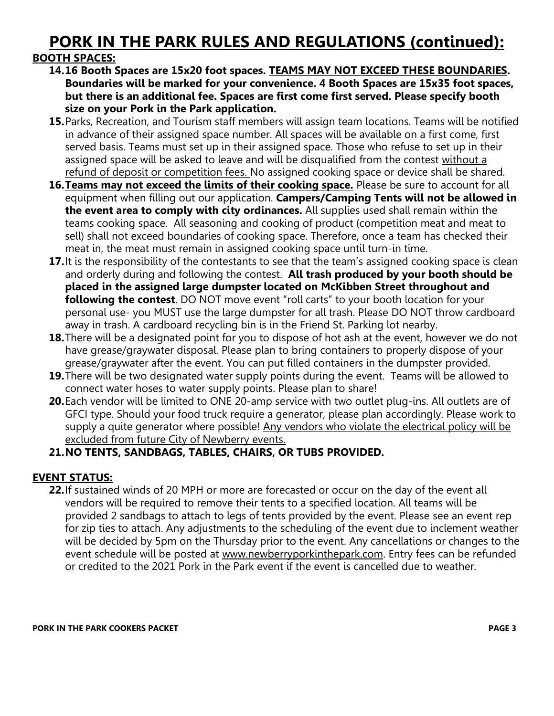# **PORK IN THE PARK RULES AND REGULATIONS (continued):**

#### **BOOTH SPACES:**

- **14.16 Booth Spaces are 15x20 foot spaces. TEAMS MAY NOT EXCEED THESE BOUNDARIES. Boundaries will be marked for your convenience. 4 Booth Spaces are 15x35 foot spaces, but there is an additional fee. Spaces are first come first served. Please specify booth size on your Pork in the Park application.**
- **15.**Parks, Recreation, and Tourism staff members will assign team locations. Teams will be notified in advance of their assigned space number. All spaces will be available on a first come, first served basis. Teams must set up in their assigned space. Those who refuse to set up in their assigned space will be asked to leave and will be disqualified from the contest without a refund of deposit or competition fees. No assigned cooking space or device shall be shared.
- **16.Teams may not exceed the limits of their cooking space.** Please be sure to account for all equipment when filling out our application. **Campers/Camping Tents will not be allowed in the event area to comply with city ordinances.** All supplies used shall remain within the teams cooking space. All seasoning and cooking of product (competition meat and meat to sell) shall not exceed boundaries of cooking space. Therefore, once a team has checked their meat in, the meat must remain in assigned cooking space until turn-in time.
- **17.** It is the responsibility of the contestants to see that the team's assigned cooking space is clean and orderly during and following the contest. **All trash produced by your booth should be placed in the assigned large dumpster located on McKibben Street throughout and following the contest**. DO NOT move event "roll carts" to your booth location for your personal use- you MUST use the large dumpster for all trash. Please DO NOT throw cardboard away in trash. A cardboard recycling bin is in the Friend St. Parking lot nearby.
- **18.**There will be a designated point for you to dispose of hot ash at the event, however we do not have grease/graywater disposal. Please plan to bring containers to properly dispose of your grease/graywater after the event. You can put filled containers in the dumpster provided.
- **19.**There will be two designated water supply points during the event. Teams will be allowed to connect water hoses to water supply points. Please plan to share!
- **20.**Each vendor will be limited to ONE 20-amp service with two outlet plug-ins. All outlets are of GFCI type. Should your food truck require a generator, please plan accordingly. Please work to supply a quite generator where possible! Any vendors who violate the electrical policy will be excluded from future City of Newberry events.

#### **21.NO TENTS, SANDBAGS, TABLES, CHAIRS, OR TUBS PROVIDED.**

#### **EVENT STATUS:**

**22.**If sustained winds of 20 MPH or more are forecasted or occur on the day of the event all vendors will be required to remove their tents to a specified location. All teams will be provided 2 sandbags to attach to legs of tents provided by the event. Please see an event rep for zip ties to attach. Any adjustments to the scheduling of the event due to inclement weather will be decided by 5pm on the Thursday prior to the event. Any cancellations or changes to the event schedule will be posted at [www.newberryporkinthepark.com.](http://www.newberryporkinthepark.com/) Entry fees can be refunded or credited to the 2021 Pork in the Park event if the event is cancelled due to weather.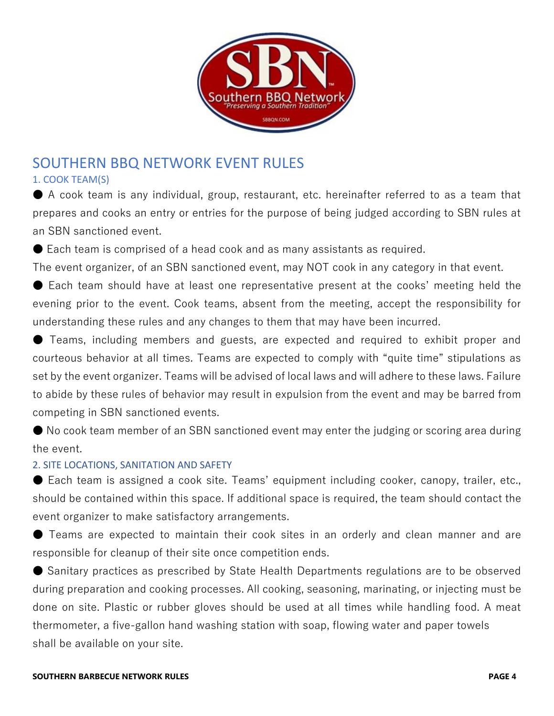

## SOUTHERN BBQ NETWORK EVENT RULES

#### 1. COOK TEAM(S)

● A cook team is any individual, group, restaurant, etc. hereinafter referred to as a team that prepares and cooks an entry or entries for the purpose of being judged according to SBN rules at an SBN sanctioned event.

● Each team is comprised of a head cook and as many assistants as required.

The event organizer, of an SBN sanctioned event, may NOT cook in any category in that event.

● Each team should have at least one representative present at the cooks' meeting held the evening prior to the event. Cook teams, absent from the meeting, accept the responsibility for understanding these rules and any changes to them that may have been incurred.

● Teams, including members and guests, are expected and required to exhibit proper and courteous behavior at all times. Teams are expected to comply with "quite time" stipulations as set by the event organizer. Teams will be advised of local laws and will adhere to these laws. Failure to abide by these rules of behavior may result in expulsion from the event and may be barred from competing in SBN sanctioned events.

● No cook team member of an SBN sanctioned event may enter the judging or scoring area during the event.

#### 2. SITE LOCATIONS, SANITATION AND SAFETY

● Each team is assigned a cook site. Teams' equipment including cooker, canopy, trailer, etc., should be contained within this space. If additional space is required, the team should contact the event organizer to make satisfactory arrangements.

● Teams are expected to maintain their cook sites in an orderly and clean manner and are responsible for cleanup of their site once competition ends.

● Sanitary practices as prescribed by State Health Departments regulations are to be observed during preparation and cooking processes. All cooking, seasoning, marinating, or injecting must be done on site. Plastic or rubber gloves should be used at all times while handling food. A meat thermometer, a five-gallon hand washing station with soap, flowing water and paper towels shall be available on your site.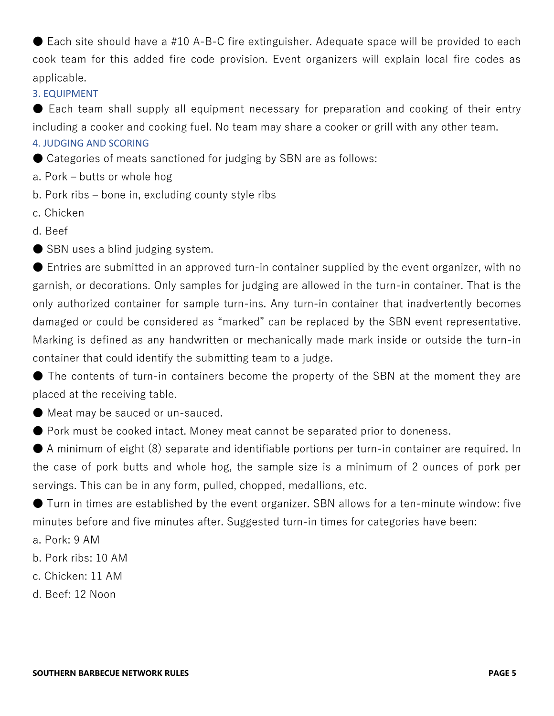$\bullet$  Each site should have a #10 A-B-C fire extinguisher. Adequate space will be provided to each cook team for this added fire code provision. Event organizers will explain local fire codes as applicable.

#### 3. EQUIPMENT

● Each team shall supply all equipment necessary for preparation and cooking of their entry including a cooker and cooking fuel. No team may share a cooker or grill with any other team.

4. JUDGING AND SCORING

● Categories of meats sanctioned for judging by SBN are as follows:

- a. Pork butts or whole hog
- b. Pork ribs bone in, excluding county style ribs
- c. Chicken
- d. Beef
- SBN uses a blind judging system.

 $\bullet$  Entries are submitted in an approved turn-in container supplied by the event organizer, with no garnish, or decorations. Only samples for judging are allowed in the turn-in container. That is the only authorized container for sample turn-ins. Any turn-in container that inadvertently becomes damaged or could be considered as "marked" can be replaced by the SBN event representative. Marking is defined as any handwritten or mechanically made mark inside or outside the turn-in container that could identify the submitting team to a judge.

● The contents of turn-in containers become the property of the SBN at the moment they are placed at the receiving table.

● Meat may be sauced or un-sauced.

● Pork must be cooked intact. Money meat cannot be separated prior to doneness.

● A minimum of eight (8) separate and identifiable portions per turn-in container are required. In the case of pork butts and whole hog, the sample size is a minimum of 2 ounces of pork per servings. This can be in any form, pulled, chopped, medallions, etc.

● Turn in times are established by the event organizer. SBN allows for a ten-minute window: five minutes before and five minutes after. Suggested turn-in times for categories have been:

- a. Pork: 9 AM
- b. Pork ribs: 10 AM
- c. Chicken: 11 AM
- d. Beef: 12 Noon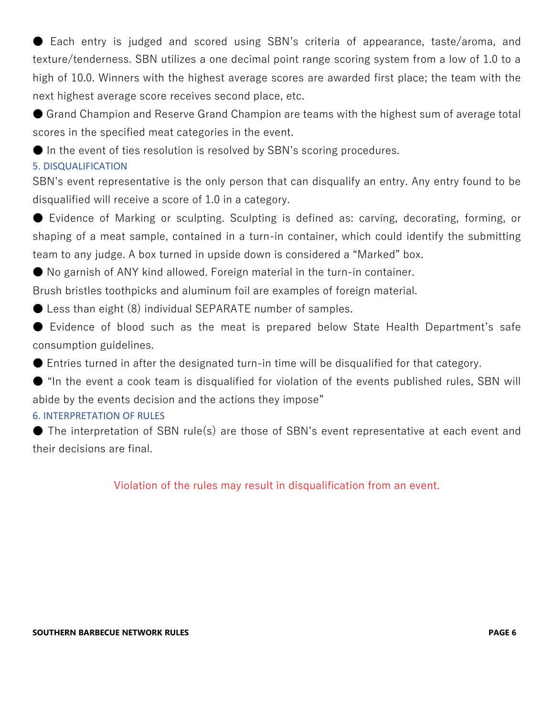● Each entry is judged and scored using SBN's criteria of appearance, taste/aroma, and texture/tenderness. SBN utilizes a one decimal point range scoring system from a low of 1.0 to a high of 10.0. Winners with the highest average scores are awarded first place; the team with the next highest average score receives second place, etc.

● Grand Champion and Reserve Grand Champion are teams with the highest sum of average total scores in the specified meat categories in the event.

● In the event of ties resolution is resolved by SBN's scoring procedures.

#### 5. DISQUALIFICATION

SBN's event representative is the only person that can disqualify an entry. Any entry found to be disqualified will receive a score of 1.0 in a category.

● Evidence of Marking or sculpting. Sculpting is defined as: carving, decorating, forming, or shaping of a meat sample, contained in a turn-in container, which could identify the submitting team to any judge. A box turned in upside down is considered a "Marked" box.

● No garnish of ANY kind allowed. Foreign material in the turn-in container.

Brush bristles toothpicks and aluminum foil are examples of foreign material.

● Less than eight (8) individual SEPARATE number of samples.

● Evidence of blood such as the meat is prepared below State Health Department's safe consumption guidelines.

● Entries turned in after the designated turn-in time will be disqualified for that category.

● "In the event a cook team is disqualified for violation of the events published rules, SBN will abide by the events decision and the actions they impose"

#### 6. INTERPRETATION OF RULES

● The interpretation of SBN rule(s) are those of SBN's event representative at each event and their decisions are final.

Violation of the rules may result in disqualification from an event.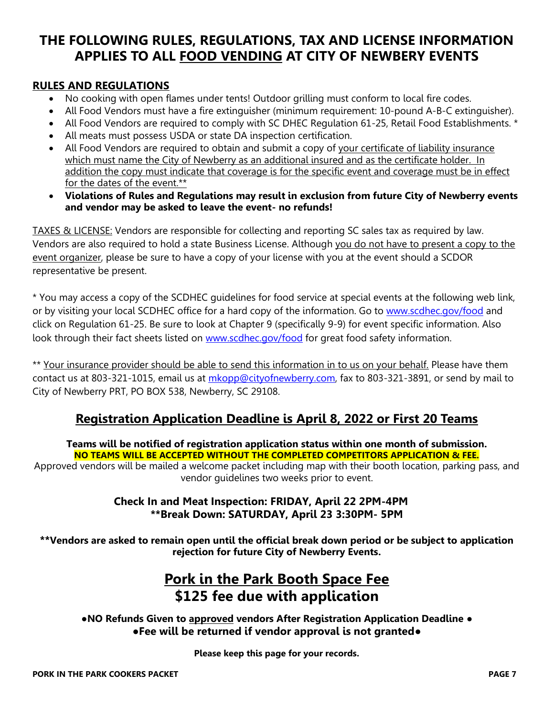### **THE FOLLOWING RULES, REGULATIONS, TAX AND LICENSE INFORMATION APPLIES TO ALL FOOD VENDING AT CITY OF NEWBERY EVENTS**

#### **RULES AND REGULATIONS**

- No cooking with open flames under tents! Outdoor grilling must conform to local fire codes.
- All Food Vendors must have a fire extinguisher (minimum requirement: 10-pound A-B-C extinguisher).
- All Food Vendors are required to comply with SC DHEC Requlation 61-25, Retail Food Establishments. \*
- All meats must possess USDA or state DA inspection certification.
- All Food Vendors are required to obtain and submit a copy of your certificate of liability insurance which must name the City of Newberry as an additional insured and as the certificate holder. In addition the copy must indicate that coverage is for the specific event and coverage must be in effect for the dates of the event.\*\*
- **Violations of Rules and Regulations may result in exclusion from future City of Newberry events and vendor may be asked to leave the event- no refunds!**

TAXES & LICENSE: Vendors are responsible for collecting and reporting SC sales tax as required by law. Vendors are also required to hold a state Business License. Although you do not have to present a copy to the event organizer, please be sure to have a copy of your license with you at the event should a SCDOR representative be present.

\* You may access a copy of the SCDHEC guidelines for food service at special events at the following web link, or by visiting your local SCDHEC office for a hard copy of the information. Go to [www.scdhec.gov/food](http://www.scdhec.gov/food) and click on Regulation 61-25. Be sure to look at Chapter 9 (specifically 9-9) for event specific information. Also look through their fact sheets listed on [www.scdhec.gov/food](http://www.scdhec.gov/food) for great food safety information.

\*\* Your insurance provider should be able to send this information in to us on your behalf. Please have them contact us at 803-321-1015, email us at [mkopp@cityofnewberry.com,](mailto:mkopp@cityofnewberry.com) fax to 803-321-3891, or send by mail to City of Newberry PRT, PO BOX 538, Newberry, SC 29108.

#### **Registration Application Deadline is April 8, 2022 or First 20 Teams**

#### **Teams will be notified of registration application status within one month of submission. NO TEAMS WILL BE ACCEPTED WITHOUT THE COMPLETED COMPETITORS APPLICATION & FEE.**

Approved vendors will be mailed a welcome packet including map with their booth location, parking pass, and vendor guidelines two weeks prior to event.

#### **Check In and Meat Inspection: FRIDAY, April 22 2PM-4PM \*\*Break Down: SATURDAY, April 23 3:30PM- 5PM**

**\*\*Vendors are asked to remain open until the official break down period or be subject to application rejection for future City of Newberry Events.**

## **Pork in the Park Booth Space Fee \$125 fee due with application**

#### **●NO Refunds Given to approved vendors After Registration Application Deadline ● ●Fee will be returned if vendor approval is not granted●**

**Please keep this page for your records.**